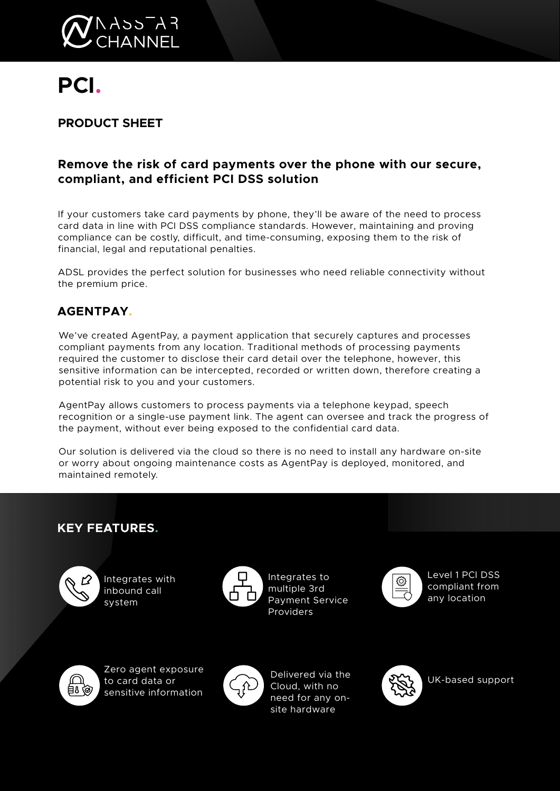

# **PCI.**

# **PRODUCT SHEET**

## **Remove the risk of card payments over the phone with our secure, compliant, and efficient PCI DSS solution**

If your customers take card payments by phone, they'll be aware of the need to process card data in line with PCI DSS compliance standards. However, maintaining and proving compliance can be costly, difficult, and time-consuming, exposing them to the risk of financial, legal and reputational penalties.

ADSL provides the perfect solution for businesses who need reliable connectivity without the premium price.

# **AGENTPAY.**

We've created AgentPay, a payment application that securely captures and processes compliant payments from any location. Traditional methods of processing payments required the customer to disclose their card detail over the telephone, however, this sensitive information can be intercepted, recorded or written down, therefore creating a potential risk to you and your customers.

AgentPay allows customers to process payments via a telephone keypad, speech recognition or a single-use payment link. The agent can oversee and track the progress of the payment, without ever being exposed to the confidential card data.

Our solution is delivered via the cloud so there is no need to install any hardware on-site or worry about ongoing maintenance costs as AgentPay is deployed, monitored, and maintained remotely.

## **KEY FEATURES.**



Integrates with inbound call system



Integrates to multiple 3rd Payment Service Providers



Level 1 PCI DSS compliant from any location



Zero agent exposure to card data or sensitive information



Delivered via the Cloud, with no need for any onsite hardware



UK-based support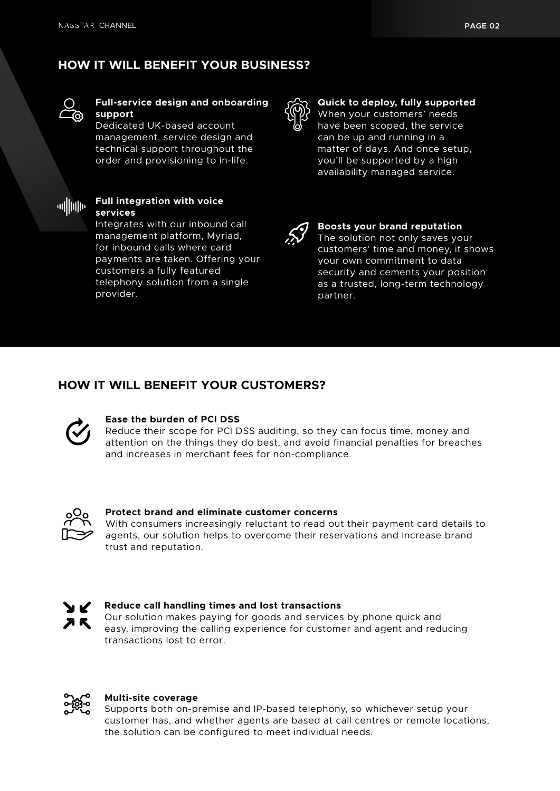# **HOW IT WILL BENEFIT YOUR BUSINESS?**



#### **Full-service design and onboarding support**

Dedicated UK-based account management, service design and technical support throughout the order and provisioning to in-life.



#### **Full integration with voice services**

Integrates with our inbound call management platform, Myriad, for inbound calls where card payments are taken. Offering your customers a fully featured telephony solution from a single provider.



#### **Quick to deploy, fully supported**

When your customers' needs have been scoped, the service can be up and running in a matter of days. And once setup, you'll be supported by a high availability managed service.



#### **Boosts your brand reputation**

The solution not only saves your customers' time and money, it shows your own commitment to data security and cements your position as a trusted, long-term technology partner.

## **HOW IT WILL BENEFIT YOUR CUSTOMERS?**



#### **Ease the burden of PCI DSS**

Reduce their scope for PCI DSS auditing, so they can focus time, money and attention on the things they do best, and avoid financial penalties for breaches and increases in merchant fees for non-compliance.



#### **Protect brand and eliminate customer concerns**

With consumers increasingly reluctant to read out their payment card details to agents, our solution helps to overcome their reservations and increase brand trust and reputation.



#### **Reduce call handling times and lost transactions**

Our solution makes paying for goods and services by phone quick and easy, improving the calling experience for customer and agent and reducing transactions lost to error.



#### **Multi-site coverage**

Supports both on-premise and IP-based telephony, so whichever setup your customer has, and whether agents are based at call centres or remote locations, the solution can be configured to meet individual needs.